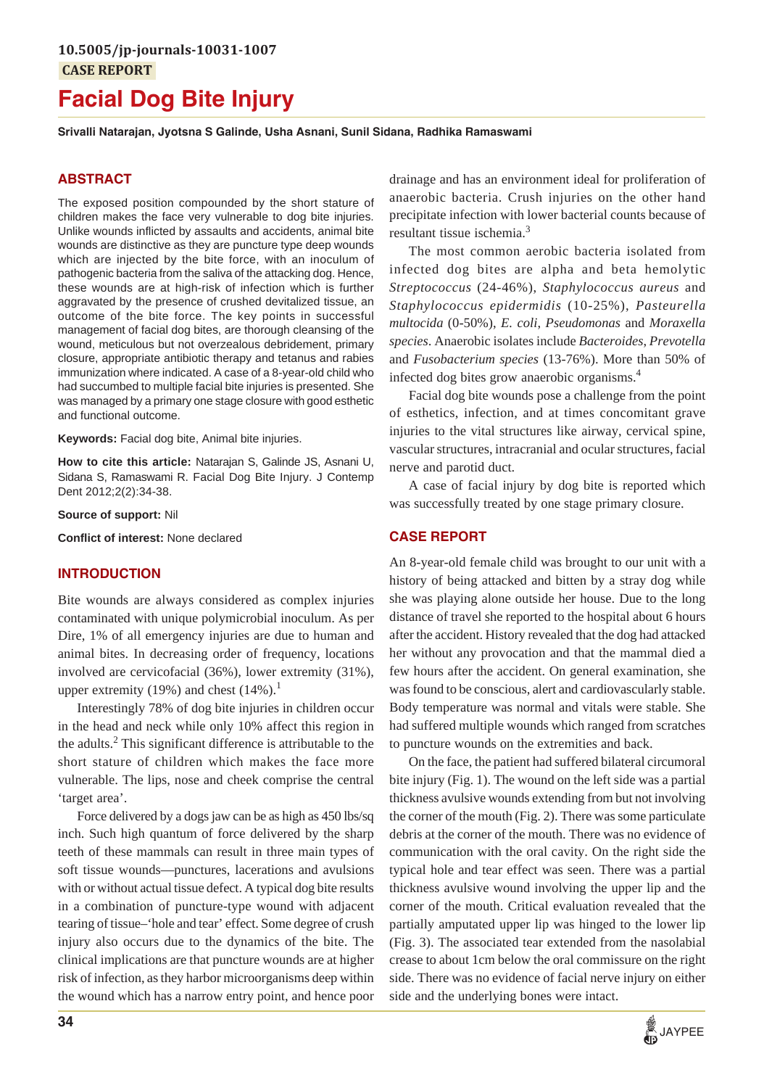# **Facial Dog Bite Injury**

**Srivalli Natarajan, Jyotsna S Galinde, Usha Asnani, Sunil Sidana, Radhika Ramaswami**

## **ABSTRACT**

The exposed position compounded by the short stature of children makes the face very vulnerable to dog bite injuries. Unlike wounds inflicted by assaults and accidents, animal bite wounds are distinctive as they are puncture type deep wounds which are injected by the bite force, with an inoculum of pathogenic bacteria from the saliva of the attacking dog. Hence, these wounds are at high-risk of infection which is further aggravated by the presence of crushed devitalized tissue, an outcome of the bite force. The key points in successful management of facial dog bites, are thorough cleansing of the wound, meticulous but not overzealous debridement, primary closure, appropriate antibiotic therapy and tetanus and rabies immunization where indicated. A case of a 8-year-old child who had succumbed to multiple facial bite injuries is presented. She was managed by a primary one stage closure with good esthetic and functional outcome.

**Keywords:** Facial dog bite, Animal bite injuries.

**How to cite this article:** Natarajan S, Galinde JS, Asnani U, Sidana S, Ramaswami R. Facial Dog Bite Injury. J Contemp Dent 2012;2(2):34-38.

**Source of support:** Nil

**Conflict of interest:** None declared

## **INTRODUCTION**

Bite wounds are always considered as complex injuries contaminated with unique polymicrobial inoculum. As per Dire, 1% of all emergency injuries are due to human and animal bites. In decreasing order of frequency, locations involved are cervicofacial (36%), lower extremity (31%), upper extremity (19%) and chest  $(14\%)$ .<sup>1</sup>

Interestingly 78% of dog bite injuries in children occur in the head and neck while only 10% affect this region in the adults.<sup>2</sup> This significant difference is attributable to the short stature of children which makes the face more vulnerable. The lips, nose and cheek comprise the central 'target area'.

Force delivered by a dogs jaw can be as high as 450 lbs/sq inch. Such high quantum of force delivered by the sharp teeth of these mammals can result in three main types of soft tissue wounds—punctures, lacerations and avulsions with or without actual tissue defect. A typical dog bite results in a combination of puncture-type wound with adjacent tearing of tissue–'hole and tear' effect. Some degree of crush injury also occurs due to the dynamics of the bite. The clinical implications are that puncture wounds are at higher risk of infection, as they harbor microorganisms deep within the wound which has a narrow entry point, and hence poor

drainage and has an environment ideal for proliferation of anaerobic bacteria. Crush injuries on the other hand precipitate infection with lower bacterial counts because of resultant tissue ischemia.<sup>3</sup>

The most common aerobic bacteria isolated from infected dog bites are alpha and beta hemolytic *Streptococcus* (24-46%), *Staphylococcus aureus* and *Staphylococcus epidermidis* (10-25%), *Pasteurella multocida* (0-50%), *E. coli*, *Pseudomonas* and *Moraxella species*. Anaerobic isolates include *Bacteroides*, *Prevotella* and *Fusobacterium species* (13-76%). More than 50% of infected dog bites grow anaerobic organisms.<sup>4</sup>

Facial dog bite wounds pose a challenge from the point of esthetics, infection, and at times concomitant grave injuries to the vital structures like airway, cervical spine, vascular structures, intracranial and ocular structures, facial nerve and parotid duct.

A case of facial injury by dog bite is reported which was successfully treated by one stage primary closure.

## **CASE REPORT**

An 8-year-old female child was brought to our unit with a history of being attacked and bitten by a stray dog while she was playing alone outside her house. Due to the long distance of travel she reported to the hospital about 6 hours after the accident. History revealed that the dog had attacked her without any provocation and that the mammal died a few hours after the accident. On general examination, she was found to be conscious, alert and cardiovascularly stable. Body temperature was normal and vitals were stable. She had suffered multiple wounds which ranged from scratches to puncture wounds on the extremities and back.

On the face, the patient had suffered bilateral circumoral bite injury (Fig. 1). The wound on the left side was a partial thickness avulsive wounds extending from but not involving the corner of the mouth (Fig. 2). There was some particulate debris at the corner of the mouth. There was no evidence of communication with the oral cavity. On the right side the typical hole and tear effect was seen. There was a partial thickness avulsive wound involving the upper lip and the corner of the mouth. Critical evaluation revealed that the partially amputated upper lip was hinged to the lower lip (Fig. 3). The associated tear extended from the nasolabial crease to about 1cm below the oral commissure on the right side. There was no evidence of facial nerve injury on either side and the underlying bones were intact.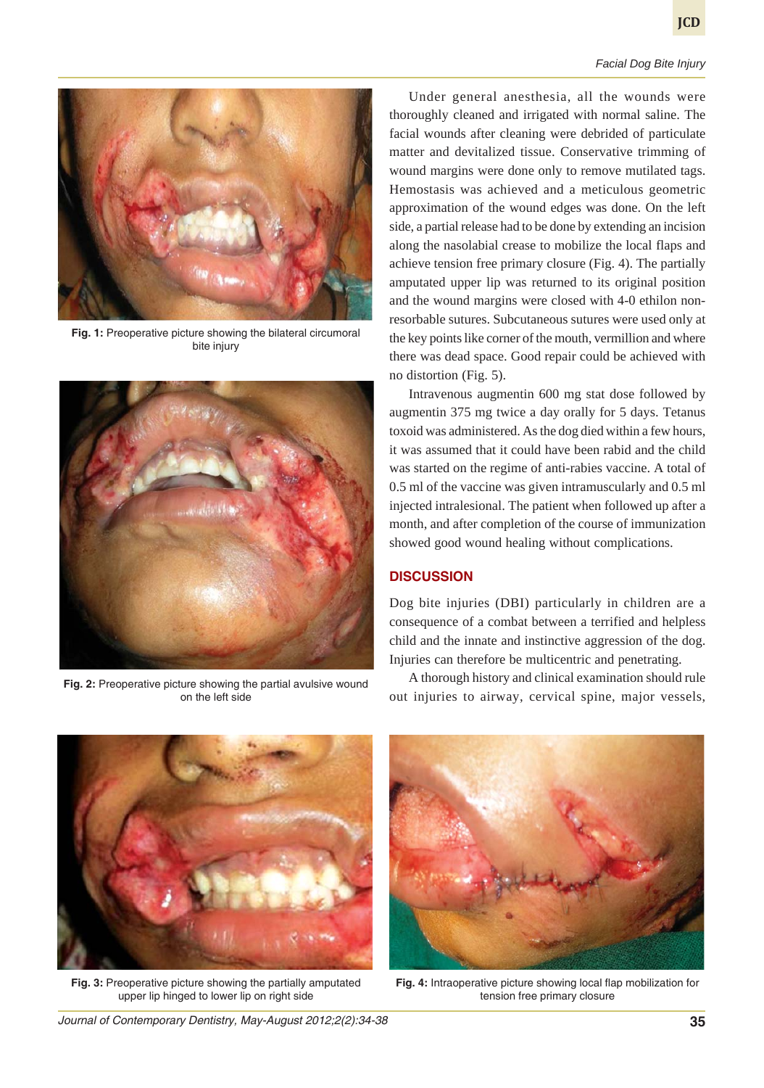#### *Facial Dog Bite Injury*



**Fig. 1:** Preoperative picture showing the bilateral circumoral bite injury



**Fig. 2:** Preoperative picture showing the partial avulsive wound on the left side

Under general anesthesia, all the wounds were thoroughly cleaned and irrigated with normal saline. The facial wounds after cleaning were debrided of particulate matter and devitalized tissue. Conservative trimming of wound margins were done only to remove mutilated tags. Hemostasis was achieved and a meticulous geometric approximation of the wound edges was done. On the left side, a partial release had to be done by extending an incision along the nasolabial crease to mobilize the local flaps and achieve tension free primary closure (Fig. 4). The partially amputated upper lip was returned to its original position and the wound margins were closed with 4-0 ethilon nonresorbable sutures. Subcutaneous sutures were used only at the key points like corner of the mouth, vermillion and where there was dead space. Good repair could be achieved with no distortion (Fig. 5).

Intravenous augmentin 600 mg stat dose followed by augmentin 375 mg twice a day orally for 5 days. Tetanus toxoid was administered. As the dog died within a few hours, it was assumed that it could have been rabid and the child was started on the regime of anti-rabies vaccine. A total of 0.5 ml of the vaccine was given intramuscularly and 0.5 ml injected intralesional. The patient when followed up after a month, and after completion of the course of immunization showed good wound healing without complications.

## **DISCUSSION**

Dog bite injuries (DBI) particularly in children are a consequence of a combat between a terrified and helpless child and the innate and instinctive aggression of the dog. Injuries can therefore be multicentric and penetrating.

A thorough history and clinical examination should rule out injuries to airway, cervical spine, major vessels,



**Fig. 3:** Preoperative picture showing the partially amputated upper lip hinged to lower lip on right side



**Fig. 4:** Intraoperative picture showing local flap mobilization for tension free primary closure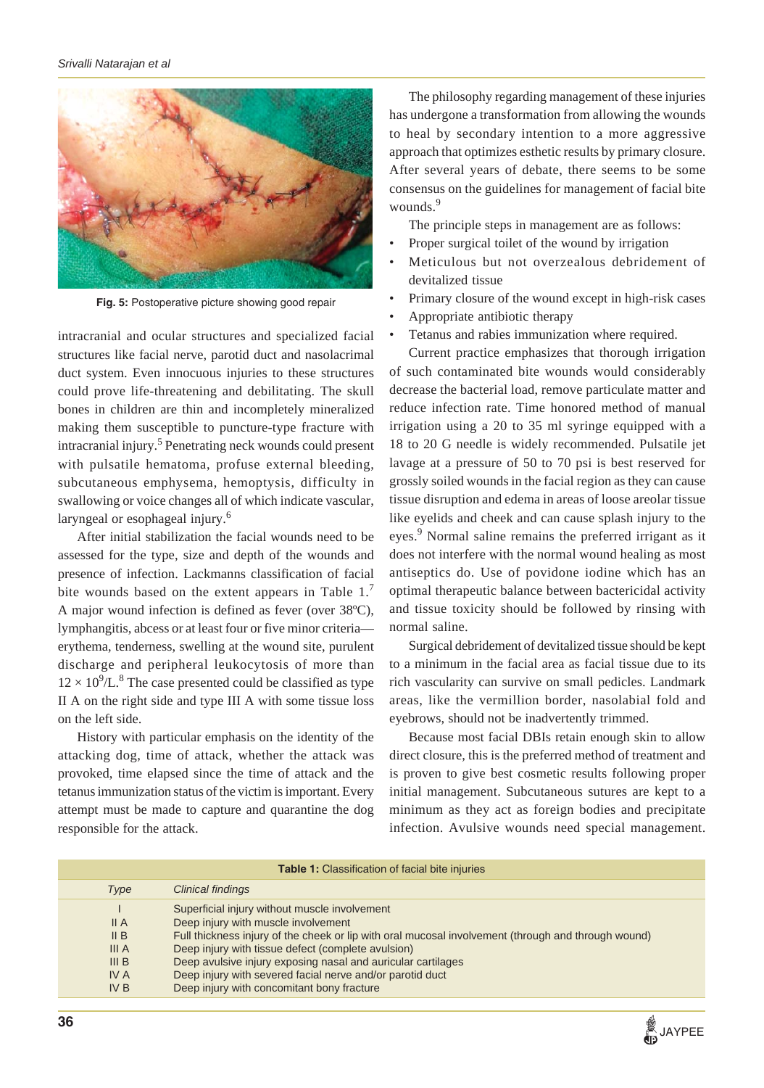

**Fig. 5:** Postoperative picture showing good repair

intracranial and ocular structures and specialized facial structures like facial nerve, parotid duct and nasolacrimal duct system. Even innocuous injuries to these structures could prove life-threatening and debilitating. The skull bones in children are thin and incompletely mineralized making them susceptible to puncture-type fracture with intracranial injury.<sup>5</sup> Penetrating neck wounds could present with pulsatile hematoma, profuse external bleeding, subcutaneous emphysema, hemoptysis, difficulty in swallowing or voice changes all of which indicate vascular, laryngeal or esophageal injury.<sup>6</sup>

After initial stabilization the facial wounds need to be assessed for the type, size and depth of the wounds and presence of infection. Lackmanns classification of facial bite wounds based on the extent appears in Table 1.<sup>7</sup> A major wound infection is defined as fever (over 38ºC), lymphangitis, abcess or at least four or five minor criteria erythema, tenderness, swelling at the wound site, purulent discharge and peripheral leukocytosis of more than  $12 \times 10^{9}$ /L.<sup>8</sup> The case presented could be classified as type II A on the right side and type III A with some tissue loss on the left side.

History with particular emphasis on the identity of the attacking dog, time of attack, whether the attack was provoked, time elapsed since the time of attack and the tetanus immunization status of the victim is important. Every attempt must be made to capture and quarantine the dog responsible for the attack.

The philosophy regarding management of these injuries has undergone a transformation from allowing the wounds to heal by secondary intention to a more aggressive approach that optimizes esthetic results by primary closure. After several years of debate, there seems to be some consensus on the guidelines for management of facial bite wounds.<sup>9</sup>

The principle steps in management are as follows:

- Proper surgical toilet of the wound by irrigation
- Meticulous but not overzealous debridement of devitalized tissue
- Primary closure of the wound except in high-risk cases
- Appropriate antibiotic therapy
- Tetanus and rabies immunization where required.

Current practice emphasizes that thorough irrigation of such contaminated bite wounds would considerably decrease the bacterial load, remove particulate matter and reduce infection rate. Time honored method of manual irrigation using a 20 to 35 ml syringe equipped with a 18 to 20 G needle is widely recommended. Pulsatile jet lavage at a pressure of 50 to 70 psi is best reserved for grossly soiled wounds in the facial region as they can cause tissue disruption and edema in areas of loose areolar tissue like eyelids and cheek and can cause splash injury to the eyes.<sup>9</sup> Normal saline remains the preferred irrigant as it does not interfere with the normal wound healing as most antiseptics do. Use of povidone iodine which has an optimal therapeutic balance between bactericidal activity and tissue toxicity should be followed by rinsing with normal saline.

Surgical debridement of devitalized tissue should be kept to a minimum in the facial area as facial tissue due to its rich vascularity can survive on small pedicles. Landmark areas, like the vermillion border, nasolabial fold and eyebrows, should not be inadvertently trimmed.

Because most facial DBIs retain enough skin to allow direct closure, this is the preferred method of treatment and is proven to give best cosmetic results following proper initial management. Subcutaneous sutures are kept to a minimum as they act as foreign bodies and precipitate infection. Avulsive wounds need special management.

| <b>Table 1:</b> Classification of facial bite injuries |                 |                                                                                                     |
|--------------------------------------------------------|-----------------|-----------------------------------------------------------------------------------------------------|
|                                                        | Type            | Clinical findings                                                                                   |
|                                                        |                 | Superficial injury without muscle involvement                                                       |
|                                                        | II A            | Deep injury with muscle involvement                                                                 |
|                                                        | II B            | Full thickness injury of the cheek or lip with oral mucosal involvement (through and through wound) |
|                                                        | III A           | Deep injury with tissue defect (complete avulsion)                                                  |
|                                                        | III B           | Deep avulsive injury exposing nasal and auricular cartilages                                        |
|                                                        | <b>IVA</b>      | Deep injury with severed facial nerve and/or parotid duct                                           |
|                                                        | IV <sub>B</sub> | Deep injury with concomitant bony fracture                                                          |
|                                                        |                 |                                                                                                     |

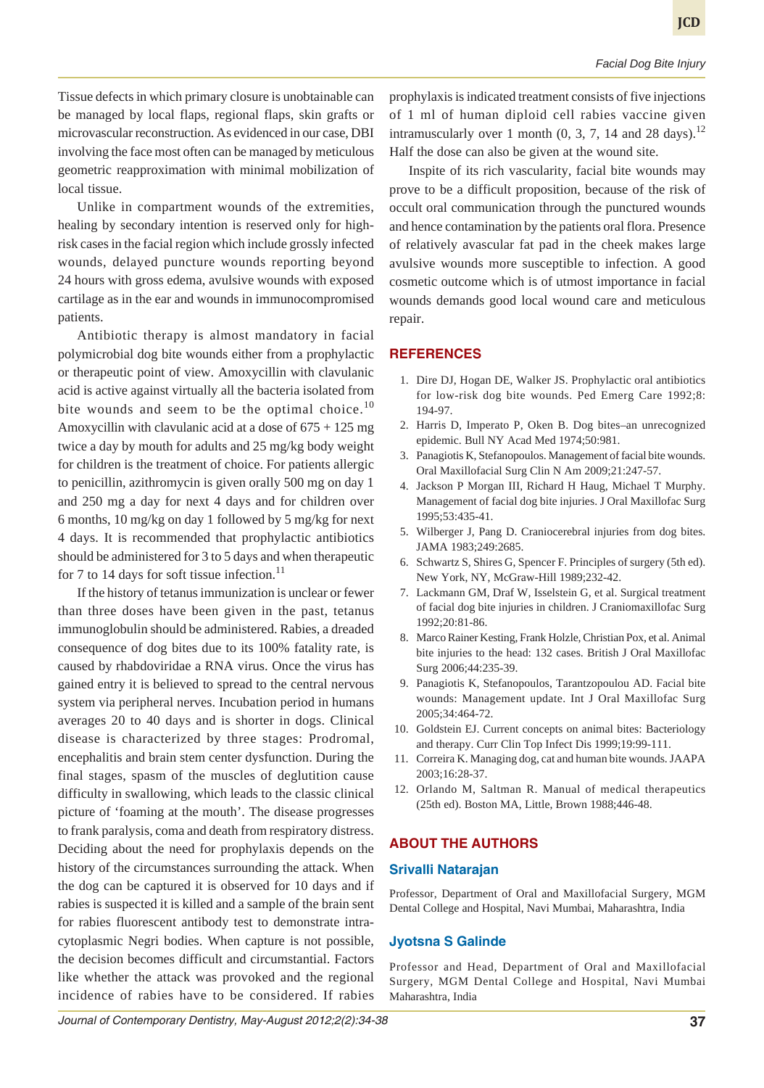Tissue defects in which primary closure is unobtainable can be managed by local flaps, regional flaps, skin grafts or microvascular reconstruction. As evidenced in our case, DBI involving the face most often can be managed by meticulous geometric reapproximation with minimal mobilization of local tissue.

Unlike in compartment wounds of the extremities, healing by secondary intention is reserved only for highrisk cases in the facial region which include grossly infected wounds, delayed puncture wounds reporting beyond 24 hours with gross edema, avulsive wounds with exposed cartilage as in the ear and wounds in immunocompromised patients.

Antibiotic therapy is almost mandatory in facial polymicrobial dog bite wounds either from a prophylactic or therapeutic point of view. Amoxycillin with clavulanic acid is active against virtually all the bacteria isolated from bite wounds and seem to be the optimal choice.<sup>10</sup> Amoxycillin with clavulanic acid at a dose of  $675 + 125$  mg twice a day by mouth for adults and 25 mg/kg body weight for children is the treatment of choice. For patients allergic to penicillin, azithromycin is given orally 500 mg on day 1 and 250 mg a day for next 4 days and for children over 6 months, 10 mg/kg on day 1 followed by 5 mg/kg for next 4 days. It is recommended that prophylactic antibiotics should be administered for 3 to 5 days and when therapeutic for 7 to 14 days for soft tissue infection.<sup>11</sup>

If the history of tetanus immunization is unclear or fewer than three doses have been given in the past, tetanus immunoglobulin should be administered. Rabies, a dreaded consequence of dog bites due to its 100% fatality rate, is caused by rhabdoviridae a RNA virus. Once the virus has gained entry it is believed to spread to the central nervous system via peripheral nerves. Incubation period in humans averages 20 to 40 days and is shorter in dogs. Clinical disease is characterized by three stages: Prodromal, encephalitis and brain stem center dysfunction. During the final stages, spasm of the muscles of deglutition cause difficulty in swallowing, which leads to the classic clinical picture of 'foaming at the mouth'. The disease progresses to frank paralysis, coma and death from respiratory distress. Deciding about the need for prophylaxis depends on the history of the circumstances surrounding the attack. When the dog can be captured it is observed for 10 days and if rabies is suspected it is killed and a sample of the brain sent for rabies fluorescent antibody test to demonstrate intracytoplasmic Negri bodies. When capture is not possible, the decision becomes difficult and circumstantial. Factors like whether the attack was provoked and the regional incidence of rabies have to be considered. If rabies

prophylaxis is indicated treatment consists of five injections of 1 ml of human diploid cell rabies vaccine given intramuscularly over 1 month  $(0, 3, 7, 14$  and 28 days).<sup>12</sup> Half the dose can also be given at the wound site.

Inspite of its rich vascularity, facial bite wounds may prove to be a difficult proposition, because of the risk of occult oral communication through the punctured wounds and hence contamination by the patients oral flora. Presence of relatively avascular fat pad in the cheek makes large avulsive wounds more susceptible to infection. A good cosmetic outcome which is of utmost importance in facial wounds demands good local wound care and meticulous repair.

### **REFERENCES**

- 1. Dire DJ, Hogan DE, Walker JS. Prophylactic oral antibiotics for low-risk dog bite wounds. Ped Emerg Care 1992;8: 194-97.
- 2. Harris D, Imperato P, Oken B. Dog bites–an unrecognized epidemic. Bull NY Acad Med 1974;50:981.
- 3. Panagiotis K, Stefanopoulos. Management of facial bite wounds. Oral Maxillofacial Surg Clin N Am 2009;21:247-57.
- 4. Jackson P Morgan III, Richard H Haug, Michael T Murphy. Management of facial dog bite injuries. J Oral Maxillofac Surg 1995;53:435-41.
- 5. Wilberger J, Pang D. Craniocerebral injuries from dog bites. JAMA 1983;249:2685.
- 6. Schwartz S, Shires G, Spencer F. Principles of surgery (5th ed). New York, NY, McGraw-Hill 1989;232-42.
- 7. Lackmann GM, Draf W, Isselstein G, et al. Surgical treatment of facial dog bite injuries in children. J Craniomaxillofac Surg 1992;20:81-86.
- 8. Marco Rainer Kesting, Frank Holzle, Christian Pox, et al. Animal bite injuries to the head: 132 cases. British J Oral Maxillofac Surg 2006;44:235-39.
- 9. Panagiotis K, Stefanopoulos, Tarantzopoulou AD. Facial bite wounds: Management update. Int J Oral Maxillofac Surg 2005;34:464-72.
- 10. Goldstein EJ. Current concepts on animal bites: Bacteriology and therapy. Curr Clin Top Infect Dis 1999;19:99-111.
- 11. Correira K. Managing dog, cat and human bite wounds. JAAPA 2003;16:28-37.
- 12. Orlando M, Saltman R. Manual of medical therapeutics (25th ed). Boston MA, Little, Brown 1988;446-48.

## **ABOUT THE AUTHORS**

### **Srivalli Natarajan**

Professor, Department of Oral and Maxillofacial Surgery, MGM Dental College and Hospital, Navi Mumbai, Maharashtra, India

#### **Jyotsna S Galinde**

Professor and Head, Department of Oral and Maxillofacial Surgery, MGM Dental College and Hospital, Navi Mumbai Maharashtra, India